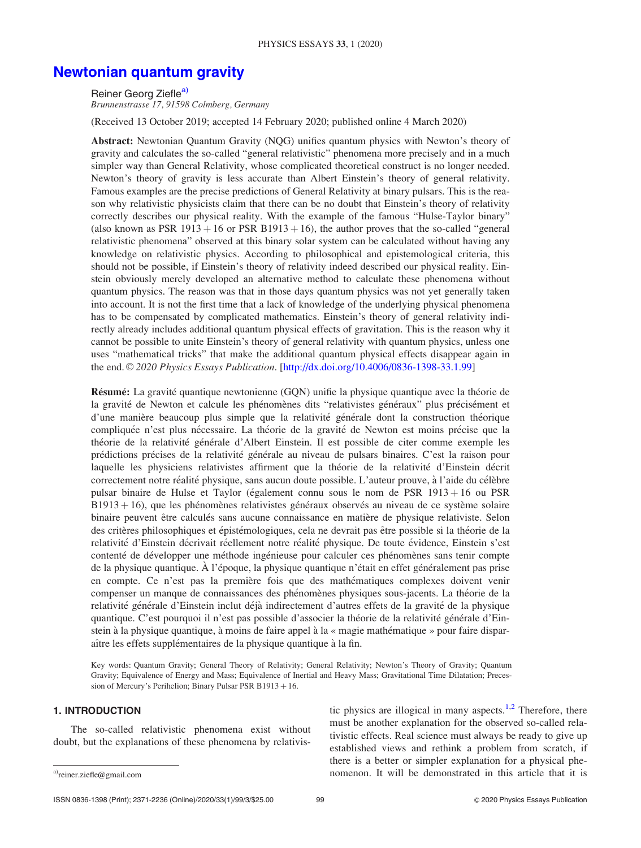# [Newtonian quantum gravity](http://dx.doi.org/10.4006/0836-1398-33.1.99)

Reiner Georg Ziefle<sup>a)</sup>

Brunnenstrasse 17, 91598 Colmberg, Germany

(Received 13 October 2019; accepted 14 February 2020; published online 4 March 2020)

Abstract: Newtonian Quantum Gravity (NQG) unifies quantum physics with Newton's theory of gravity and calculates the so-called "general relativistic" phenomena more precisely and in a much simpler way than General Relativity, whose complicated theoretical construct is no longer needed. Newton's theory of gravity is less accurate than Albert Einstein's theory of general relativity. Famous examples are the precise predictions of General Relativity at binary pulsars. This is the reason why relativistic physicists claim that there can be no doubt that Einstein's theory of relativity correctly describes our physical reality. With the example of the famous "Hulse-Taylor binary" (also known as PSR 1913 + 16 or PSR B1913 + 16), the author proves that the so-called "general" relativistic phenomena" observed at this binary solar system can be calculated without having any knowledge on relativistic physics. According to philosophical and epistemological criteria, this should not be possible, if Einstein's theory of relativity indeed described our physical reality. Einstein obviously merely developed an alternative method to calculate these phenomena without quantum physics. The reason was that in those days quantum physics was not yet generally taken into account. It is not the first time that a lack of knowledge of the underlying physical phenomena has to be compensated by complicated mathematics. Einstein's theory of general relativity indirectly already includes additional quantum physical effects of gravitation. This is the reason why it cannot be possible to unite Einstein's theory of general relativity with quantum physics, unless one uses "mathematical tricks" that make the additional quantum physical effects disappear again in the end.  $\odot$  2020 Physics Essays Publication. [http://dx.doi.org/10.4006/0836-1398-33.1.99]

Résumé: La gravité quantique newtonienne (GQN) unifie la physique quantique avec la théorie de la gravité de Newton et calcule les phénomènes dits "relativistes généraux" plus précisément et d'une manière beaucoup plus simple que la relativité générale dont la construction théorique compliquée n'est plus nécessaire. La théorie de la gravité de Newton est moins précise que la théorie de la relativité générale d'Albert Einstein. Il est possible de citer comme exemple les prédictions précises de la relativité générale au niveau de pulsars binaires. C'est la raison pour laquelle les physiciens relativistes affirment que la théorie de la relativité d'Einstein décrit correctement notre réalité physique, sans aucun doute possible. L'auteur prouve, à l'aide du célèbre pulsar binaire de Hulse et Taylor (également connu sous le nom de PSR 1913 + 16 ou PSR B1913 + 16), que les phénomènes relativistes généraux observés au niveau de ce système solaire binaire peuvent être calculés sans aucune connaissance en matière de physique relativiste. Selon des critères philosophiques et épistémologiques, cela ne devrait pas être possible si la théorie de la relativité d'Einstein décrivait réellement notre réalité physique. De toute évidence, Einstein s'est contenté de développer une méthode ingénieuse pour calculer ces phénomènes sans tenir compte de la physique quantique. À l'époque, la physique quantique n'était en effet généralement pas prise en compte. Ce n'est pas la première fois que des mathématiques complexes doivent venir compenser un manque de connaissances des phénomènes physiques sous-jacents. La théorie de la relativité générale d'Einstein inclut déjà indirectement d'autres effets de la gravité de la physique quantique. C'est pourquoi il n'est pas possible d'associer la théorie de la relativité générale d'Einstein à la physique quantique, à moins de faire appel à la « magie mathématique » pour faire disparaître les effets supplémentaires de la physique quantique à la fin.

Key words: Quantum Gravity; General Theory of Relativity; General Relativity; Newton's Theory of Gravity; Quantum Gravity; Equivalence of Energy and Mass; Equivalence of Inertial and Heavy Mass; Gravitational Time Dilatation; Precession of Mercury's Perihelion; Binary Pulsar PSR B1913 + 16.

## 1. INTRODUCTION

The so-called relativistic phenomena exist without doubt, but the explanations of these phenomena by relativis-

tic physics are illogical in many aspects.<sup>[1,2](#page-14-0)</sup> Therefore, there must be another explanation for the observed so-called relativistic effects. Real science must always be ready to give up established views and rethink a problem from scratch, if there is a better or simpler explanation for a physical phe $a$  nomenon. It will be demonstrated in this article that it is a power contained in this article that it is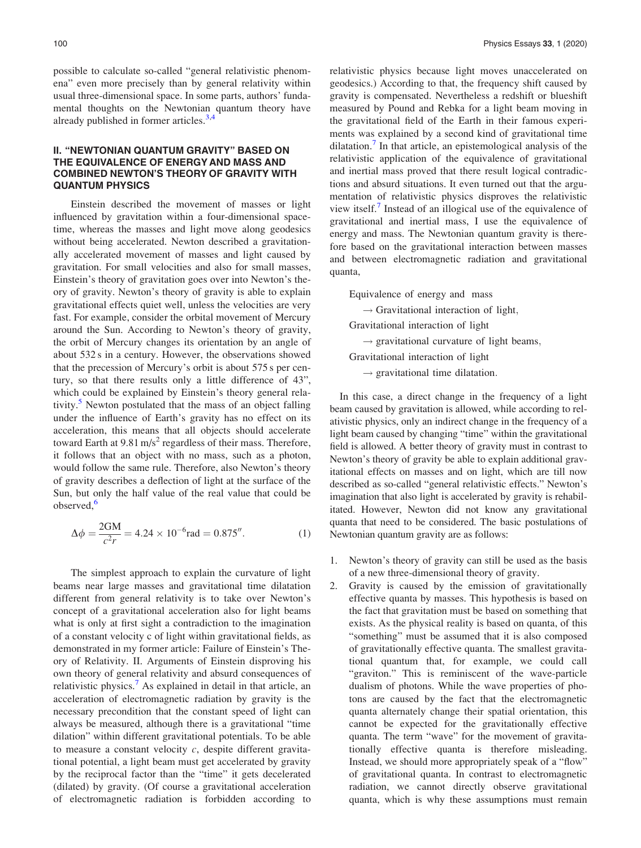possible to calculate so-called "general relativistic phenomena" even more precisely than by general relativity within usual three-dimensional space. In some parts, authors' fundamental thoughts on the Newtonian quantum theory have already published in former articles.<sup>[3](#page-14-0),[4](#page-14-0)</sup>

## II. "NEWTONIAN QUANTUM GRAVITY" BASED ON THE EQUIVALENCE OF ENERGY AND MASS AND COMBINED NEWTON'S THEORY OF GRAVITY WITH QUANTUM PHYSICS

Einstein described the movement of masses or light influenced by gravitation within a four-dimensional spacetime, whereas the masses and light move along geodesics without being accelerated. Newton described a gravitationally accelerated movement of masses and light caused by gravitation. For small velocities and also for small masses, Einstein's theory of gravitation goes over into Newton's theory of gravity. Newton's theory of gravity is able to explain gravitational effects quiet well, unless the velocities are very fast. For example, consider the orbital movement of Mercury around the Sun. According to Newton's theory of gravity, the orbit of Mercury changes its orientation by an angle of about 532 s in a century. However, the observations showed that the precession of Mercury's orbit is about 575 s per century, so that there results only a little difference of 43", which could be explained by Einstein's theory general rela-tivity.<sup>[5](#page-14-0)</sup> Newton postulated that the mass of an object falling under the influence of Earth's gravity has no effect on its acceleration, this means that all objects should accelerate toward Earth at  $9.81 \text{ m/s}^2$  regardless of their mass. Therefore, it follows that an object with no mass, such as a photon, would follow the same rule. Therefore, also Newton's theory of gravity describes a deflection of light at the surface of the Sun, but only the half value of the real value that could be observed.<sup>[6](#page-14-0)</sup>

$$
\Delta \phi = \frac{2GM}{c^2 r} = 4.24 \times 10^{-6} \text{rad} = 0.875''.
$$
 (1)

The simplest approach to explain the curvature of light beams near large masses and gravitational time dilatation different from general relativity is to take over Newton's concept of a gravitational acceleration also for light beams what is only at first sight a contradiction to the imagination of a constant velocity c of light within gravitational fields, as demonstrated in my former article: Failure of Einstein's Theory of Relativity. II. Arguments of Einstein disproving his own theory of general relativity and absurd consequences of relativistic physics.<sup>[7](#page-14-0)</sup> As explained in detail in that article, an acceleration of electromagnetic radiation by gravity is the necessary precondition that the constant speed of light can always be measured, although there is a gravitational "time dilation" within different gravitational potentials. To be able to measure a constant velocity  $c$ , despite different gravitational potential, a light beam must get accelerated by gravity by the reciprocal factor than the "time" it gets decelerated (dilated) by gravity. (Of course a gravitational acceleration of electromagnetic radiation is forbidden according to relativistic physics because light moves unaccelerated on geodesics.) According to that, the frequency shift caused by gravity is compensated. Nevertheless a redshift or blueshift measured by Pound and Rebka for a light beam moving in the gravitational field of the Earth in their famous experiments was explained by a second kind of gravitational time dilatation.[7](#page-14-0) In that article, an epistemological analysis of the relativistic application of the equivalence of gravitational and inertial mass proved that there result logical contradictions and absurd situations. It even turned out that the argumentation of relativistic physics disproves the relativistic view itself. Instead of an illogical use of the equivalence of gravitational and inertial mass, I use the equivalence of energy and mass. The Newtonian quantum gravity is therefore based on the gravitational interaction between masses and between electromagnetic radiation and gravitational quanta,

Equivalence of energy and mass

 $\rightarrow$  Gravitational interaction of light,

Gravitational interaction of light

 $\rightarrow$  gravitational curvature of light beams,

Gravitational interaction of light

 $\rightarrow$  gravitational time dilatation.

In this case, a direct change in the frequency of a light beam caused by gravitation is allowed, while according to relativistic physics, only an indirect change in the frequency of a light beam caused by changing "time" within the gravitational field is allowed. A better theory of gravity must in contrast to Newton's theory of gravity be able to explain additional gravitational effects on masses and on light, which are till now described as so-called "general relativistic effects." Newton's imagination that also light is accelerated by gravity is rehabilitated. However, Newton did not know any gravitational quanta that need to be considered. The basic postulations of Newtonian quantum gravity are as follows:

- 1. Newton's theory of gravity can still be used as the basis of a new three-dimensional theory of gravity.
- 2. Gravity is caused by the emission of gravitationally effective quanta by masses. This hypothesis is based on the fact that gravitation must be based on something that exists. As the physical reality is based on quanta, of this "something" must be assumed that it is also composed of gravitationally effective quanta. The smallest gravitational quantum that, for example, we could call "graviton." This is reminiscent of the wave-particle dualism of photons. While the wave properties of photons are caused by the fact that the electromagnetic quanta alternately change their spatial orientation, this cannot be expected for the gravitationally effective quanta. The term "wave" for the movement of gravitationally effective quanta is therefore misleading. Instead, we should more appropriately speak of a "flow" of gravitational quanta. In contrast to electromagnetic radiation, we cannot directly observe gravitational quanta, which is why these assumptions must remain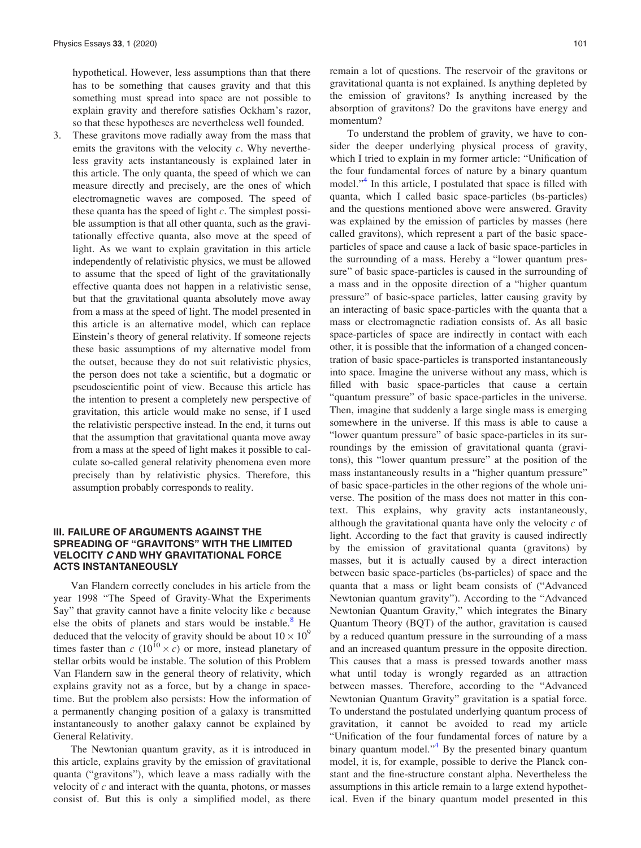hypothetical. However, less assumptions than that there has to be something that causes gravity and that this something must spread into space are not possible to explain gravity and therefore satisfies Ockham's razor, so that these hypotheses are nevertheless well founded.

3. These gravitons move radially away from the mass that emits the gravitons with the velocity  $c$ . Why nevertheless gravity acts instantaneously is explained later in this article. The only quanta, the speed of which we can measure directly and precisely, are the ones of which electromagnetic waves are composed. The speed of these quanta has the speed of light  $c$ . The simplest possible assumption is that all other quanta, such as the gravitationally effective quanta, also move at the speed of light. As we want to explain gravitation in this article independently of relativistic physics, we must be allowed to assume that the speed of light of the gravitationally effective quanta does not happen in a relativistic sense, but that the gravitational quanta absolutely move away from a mass at the speed of light. The model presented in this article is an alternative model, which can replace Einstein's theory of general relativity. If someone rejects these basic assumptions of my alternative model from the outset, because they do not suit relativistic physics, the person does not take a scientific, but a dogmatic or pseudoscientific point of view. Because this article has the intention to present a completely new perspective of gravitation, this article would make no sense, if I used the relativistic perspective instead. In the end, it turns out that the assumption that gravitational quanta move away from a mass at the speed of light makes it possible to calculate so-called general relativity phenomena even more precisely than by relativistic physics. Therefore, this assumption probably corresponds to reality.

## III. FAILURE OF ARGUMENTS AGAINST THE SPREADING OF "GRAVITONS" WITH THE LIMITED VELOCITY C AND WHY GRAVITATIONAL FORCE ACTS INSTANTANEOUSLY

Van Flandern correctly concludes in his article from the year 1998 "The Speed of Gravity-What the Experiments Say" that gravity cannot have a finite velocity like  $c$  because else the obits of planets and stars would be instable. $8$  He deduced that the velocity of gravity should be about  $10 \times 10^9$ times faster than c (10<sup>10</sup>  $\times$  c) or more, instead planetary of stellar orbits would be instable. The solution of this Problem Van Flandern saw in the general theory of relativity, which explains gravity not as a force, but by a change in spacetime. But the problem also persists: How the information of a permanently changing position of a galaxy is transmitted instantaneously to another galaxy cannot be explained by General Relativity.

The Newtonian quantum gravity, as it is introduced in this article, explains gravity by the emission of gravitational quanta ("gravitons"), which leave a mass radially with the velocity of  $c$  and interact with the quanta, photons, or masses consist of. But this is only a simplified model, as there remain a lot of questions. The reservoir of the gravitons or gravitational quanta is not explained. Is anything depleted by the emission of gravitons? Is anything increased by the absorption of gravitons? Do the gravitons have energy and momentum?

To understand the problem of gravity, we have to consider the deeper underlying physical process of gravity, which I tried to explain in my former article: "Unification of the four fundamental forces of nature by a binary quantum model."<sup>[4](#page-14-0)</sup> In this article, I postulated that space is filled with quanta, which I called basic space-particles (bs-particles) and the questions mentioned above were answered. Gravity was explained by the emission of particles by masses (here called gravitons), which represent a part of the basic spaceparticles of space and cause a lack of basic space-particles in the surrounding of a mass. Hereby a "lower quantum pressure" of basic space-particles is caused in the surrounding of a mass and in the opposite direction of a "higher quantum pressure" of basic-space particles, latter causing gravity by an interacting of basic space-particles with the quanta that a mass or electromagnetic radiation consists of. As all basic space-particles of space are indirectly in contact with each other, it is possible that the information of a changed concentration of basic space-particles is transported instantaneously into space. Imagine the universe without any mass, which is filled with basic space-particles that cause a certain "quantum pressure" of basic space-particles in the universe. Then, imagine that suddenly a large single mass is emerging somewhere in the universe. If this mass is able to cause a "lower quantum pressure" of basic space-particles in its surroundings by the emission of gravitational quanta (gravitons), this "lower quantum pressure" at the position of the mass instantaneously results in a "higher quantum pressure" of basic space-particles in the other regions of the whole universe. The position of the mass does not matter in this context. This explains, why gravity acts instantaneously, although the gravitational quanta have only the velocity  $c$  of light. According to the fact that gravity is caused indirectly by the emission of gravitational quanta (gravitons) by masses, but it is actually caused by a direct interaction between basic space-particles (bs-particles) of space and the quanta that a mass or light beam consists of ("Advanced Newtonian quantum gravity"). According to the "Advanced Newtonian Quantum Gravity," which integrates the Binary Quantum Theory (BQT) of the author, gravitation is caused by a reduced quantum pressure in the surrounding of a mass and an increased quantum pressure in the opposite direction. This causes that a mass is pressed towards another mass what until today is wrongly regarded as an attraction between masses. Therefore, according to the "Advanced Newtonian Quantum Gravity" gravitation is a spatial force. To understand the postulated underlying quantum process of gravitation, it cannot be avoided to read my article "Unification of the four fundamental forces of nature by a binary quantum model."<sup>[4](#page-14-0)</sup> By the presented binary quantum model, it is, for example, possible to derive the Planck constant and the fine-structure constant alpha. Nevertheless the assumptions in this article remain to a large extend hypothetical. Even if the binary quantum model presented in this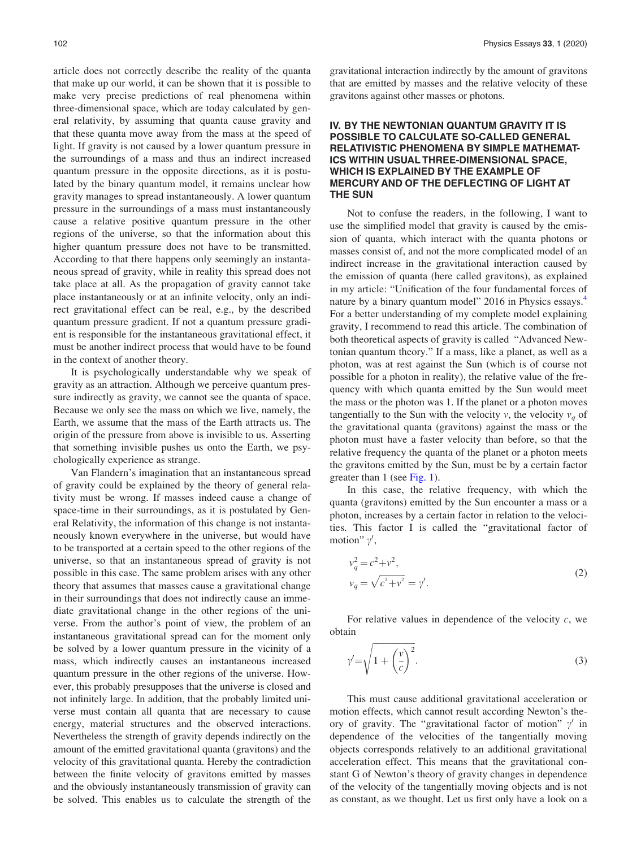<span id="page-3-0"></span>article does not correctly describe the reality of the quanta that make up our world, it can be shown that it is possible to make very precise predictions of real phenomena within three-dimensional space, which are today calculated by general relativity, by assuming that quanta cause gravity and that these quanta move away from the mass at the speed of light. If gravity is not caused by a lower quantum pressure in the surroundings of a mass and thus an indirect increased quantum pressure in the opposite directions, as it is postulated by the binary quantum model, it remains unclear how gravity manages to spread instantaneously. A lower quantum pressure in the surroundings of a mass must instantaneously cause a relative positive quantum pressure in the other regions of the universe, so that the information about this higher quantum pressure does not have to be transmitted. According to that there happens only seemingly an instantaneous spread of gravity, while in reality this spread does not take place at all. As the propagation of gravity cannot take place instantaneously or at an infinite velocity, only an indirect gravitational effect can be real, e.g., by the described quantum pressure gradient. If not a quantum pressure gradient is responsible for the instantaneous gravitational effect, it must be another indirect process that would have to be found in the context of another theory.

It is psychologically understandable why we speak of gravity as an attraction. Although we perceive quantum pressure indirectly as gravity, we cannot see the quanta of space. Because we only see the mass on which we live, namely, the Earth, we assume that the mass of the Earth attracts us. The origin of the pressure from above is invisible to us. Asserting that something invisible pushes us onto the Earth, we psychologically experience as strange.

Van Flandern's imagination that an instantaneous spread of gravity could be explained by the theory of general relativity must be wrong. If masses indeed cause a change of space-time in their surroundings, as it is postulated by General Relativity, the information of this change is not instantaneously known everywhere in the universe, but would have to be transported at a certain speed to the other regions of the universe, so that an instantaneous spread of gravity is not possible in this case. The same problem arises with any other theory that assumes that masses cause a gravitational change in their surroundings that does not indirectly cause an immediate gravitational change in the other regions of the universe. From the author's point of view, the problem of an instantaneous gravitational spread can for the moment only be solved by a lower quantum pressure in the vicinity of a mass, which indirectly causes an instantaneous increased quantum pressure in the other regions of the universe. However, this probably presupposes that the universe is closed and not infinitely large. In addition, that the probably limited universe must contain all quanta that are necessary to cause energy, material structures and the observed interactions. Nevertheless the strength of gravity depends indirectly on the amount of the emitted gravitational quanta (gravitons) and the velocity of this gravitational quanta. Hereby the contradiction between the finite velocity of gravitons emitted by masses and the obviously instantaneously transmission of gravity can be solved. This enables us to calculate the strength of the gravitational interaction indirectly by the amount of gravitons that are emitted by masses and the relative velocity of these gravitons against other masses or photons.

## IV. BY THE NEWTONIAN QUANTUM GRAVITY IT IS POSSIBLE TO CALCULATE SO-CALLED GENERAL RELATIVISTIC PHENOMENA BY SIMPLE MATHEMAT-ICS WITHIN USUAL THREE-DIMENSIONAL SPACE, WHICH IS EXPLAINED BY THE EXAMPLE OF MERCURY AND OF THE DEFLECTING OF LIGHT AT THE SUN

Not to confuse the readers, in the following, I want to use the simplified model that gravity is caused by the emission of quanta, which interact with the quanta photons or masses consist of, and not the more complicated model of an indirect increase in the gravitational interaction caused by the emission of quanta (here called gravitons), as explained in my article: "Unification of the four fundamental forces of nature by a binary quantum model" 2016 in Physics essays.<sup>4</sup> For a better understanding of my complete model explaining gravity, I recommend to read this article. The combination of both theoretical aspects of gravity is called "Advanced Newtonian quantum theory." If a mass, like a planet, as well as a photon, was at rest against the Sun (which is of course not possible for a photon in reality), the relative value of the frequency with which quanta emitted by the Sun would meet the mass or the photon was 1. If the planet or a photon moves tangentially to the Sun with the velocity v, the velocity  $v_q$  of the gravitational quanta (gravitons) against the mass or the photon must have a faster velocity than before, so that the relative frequency the quanta of the planet or a photon meets the gravitons emitted by the Sun, must be by a certain factor greater than 1 (see [Fig. 1\)](#page-4-0).

In this case, the relative frequency, with which the quanta (gravitons) emitted by the Sun encounter a mass or a photon, increases by a certain factor in relation to the velocities. This factor I is called the "gravitational factor of motion"  $\gamma'$ ,

$$
v_q^2 = c^2 + v^2,
$$
  
\n
$$
v_q = \sqrt{c^2 + v^2} = \gamma'.
$$
\n(2)

For relative values in dependence of the velocity  $c$ , we obtain

$$
\gamma' = \sqrt{1 + \left(\frac{v}{c}\right)^2}.\tag{3}
$$

This must cause additional gravitational acceleration or motion effects, which cannot result according Newton's theory of gravity. The "gravitational factor of motion"  $\gamma'$  in dependence of the velocities of the tangentially moving objects corresponds relatively to an additional gravitational acceleration effect. This means that the gravitational constant G of Newton's theory of gravity changes in dependence of the velocity of the tangentially moving objects and is not as constant, as we thought. Let us first only have a look on a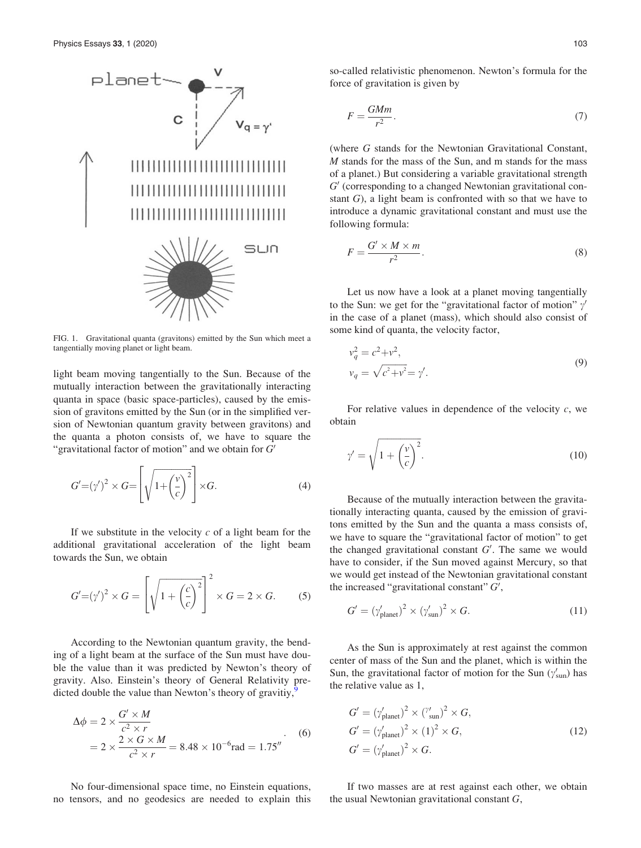<span id="page-4-0"></span>

FIG. 1. Gravitational quanta (gravitons) emitted by the Sun which meet a tangentially moving planet or light beam.

light beam moving tangentially to the Sun. Because of the mutually interaction between the gravitationally interacting quanta in space (basic space-particles), caused by the emission of gravitons emitted by the Sun (or in the simplified version of Newtonian quantum gravity between gravitons) and the quanta a photon consists of, we have to square the "gravitational factor of motion" and we obtain for  $G'$ 

$$
G' = (\gamma')^2 \times G = \left[ \sqrt{1 + \left(\frac{v}{c}\right)^2} \right] \times G. \tag{4}
$$

If we substitute in the velocity  $c$  of a light beam for the additional gravitational acceleration of the light beam towards the Sun, we obtain

$$
G'=(\gamma')^2 \times G = \left[\sqrt{1+\left(\frac{c}{c}\right)^2}\right]^2 \times G = 2 \times G. \tag{5}
$$

According to the Newtonian quantum gravity, the bending of a light beam at the surface of the Sun must have double the value than it was predicted by Newton's theory of gravity. Also. Einstein's theory of General Relativity predicted double the value than Newton's theory of gravitiy, $\frac{9}{2}$  $\frac{9}{2}$  $\frac{9}{2}$ 

$$
\Delta \phi = 2 \times \frac{G' \times M}{c^2 \times r}
$$
  
= 
$$
2 \times \frac{2 \times G \times M}{c^2 \times r} = 8.48 \times 10^{-6} \text{rad} = 1.75''
$$
 (6)

No four-dimensional space time, no Einstein equations, no tensors, and no geodesics are needed to explain this

$$
F = \frac{GMm}{r^2}.\tag{7}
$$

(where G stands for the Newtonian Gravitational Constant, M stands for the mass of the Sun, and m stands for the mass of a planet.) But considering a variable gravitational strength  $G'$  (corresponding to a changed Newtonian gravitational constant G), a light beam is confronted with so that we have to introduce a dynamic gravitational constant and must use the following formula:

$$
F = \frac{G' \times M \times m}{r^2}.
$$
 (8)

Let us now have a look at a planet moving tangentially to the Sun: we get for the "gravitational factor of motion"  $\gamma'$ in the case of a planet (mass), which should also consist of some kind of quanta, the velocity factor,

$$
v_q^2 = c^2 + v^2,
$$
  
\n
$$
v_q = \sqrt{c^2 + v^2} = \gamma'.
$$
\n(9)

For relative values in dependence of the velocity  $c$ , we obtain

$$
\gamma' = \sqrt{1 + \left(\frac{v}{c}\right)^2}.\tag{10}
$$

Because of the mutually interaction between the gravitationally interacting quanta, caused by the emission of gravitons emitted by the Sun and the quanta a mass consists of, we have to square the "gravitational factor of motion" to get the changed gravitational constant  $G'$ . The same we would have to consider, if the Sun moved against Mercury, so that we would get instead of the Newtonian gravitational constant the increased "gravitational constant"  $G'$ ,

$$
G' = (\gamma'_{\text{planet}})^2 \times (\gamma'_{\text{sun}})^2 \times G. \tag{11}
$$

As the Sun is approximately at rest against the common center of mass of the Sun and the planet, which is within the Sun, the gravitational factor of motion for the Sun ( $\gamma'_{\text{sun}}$ ) has the relative value as 1,

$$
G' = (\gamma'_{\text{planet}})^2 \times (\gamma'_{\text{sun}})^2 \times G,
$$
  
\n
$$
G' = (\gamma'_{\text{planet}})^2 \times (1)^2 \times G,
$$
  
\n
$$
G' = (\gamma'_{\text{planet}})^2 \times G.
$$
\n(12)

If two masses are at rest against each other, we obtain the usual Newtonian gravitational constant G,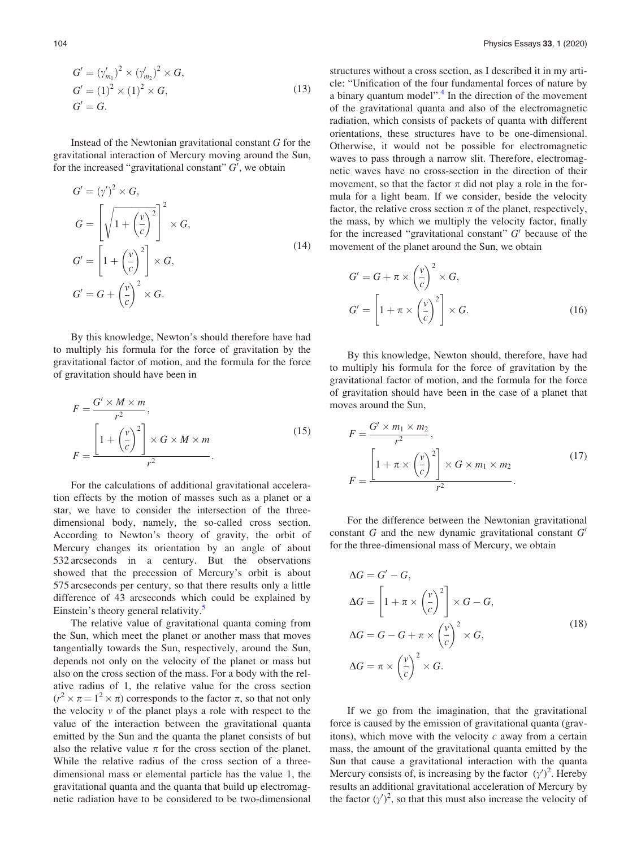$$
G' = (\gamma'_{m_1})^2 \times (\gamma'_{m_2})^2 \times G,
$$
  
\n
$$
G' = (1)^2 \times (1)^2 \times G,
$$
  
\n
$$
G' = G.
$$
\n(13)

Instead of the Newtonian gravitational constant G for the gravitational interaction of Mercury moving around the Sun, for the increased "gravitational constant"  $G'$ , we obtain

$$
G' = (\gamma')^2 \times G,
$$
  
\n
$$
G = \left[ \sqrt{1 + \left(\frac{v}{c}\right)^2} \right]^2 \times G,
$$
  
\n
$$
G' = \left[ 1 + \left(\frac{v}{c}\right)^2 \right] \times G,
$$
  
\n
$$
G' = G + \left(\frac{v}{c}\right)^2 \times G.
$$
\n(14)

By this knowledge, Newton's should therefore have had to multiply his formula for the force of gravitation by the gravitational factor of motion, and the formula for the force of gravitation should have been in

$$
F = \frac{G' \times M \times m}{r^2},
$$
  

$$
F = \frac{\left[1 + \left(\frac{v}{c}\right)^2\right] \times G \times M \times m}{r^2}.
$$
 (15)

For the calculations of additional gravitational acceleration effects by the motion of masses such as a planet or a star, we have to consider the intersection of the threedimensional body, namely, the so-called cross section. According to Newton's theory of gravity, the orbit of Mercury changes its orientation by an angle of about 532 arcseconds in a century. But the observations showed that the precession of Mercury's orbit is about 575 arcseconds per century, so that there results only a little difference of 43 arcseconds which could be explained by Einstein's theory general relativity.<sup>[5](#page-14-0)</sup>

The relative value of gravitational quanta coming from the Sun, which meet the planet or another mass that moves tangentially towards the Sun, respectively, around the Sun, depends not only on the velocity of the planet or mass but also on the cross section of the mass. For a body with the relative radius of 1, the relative value for the cross section  $(r^2 \times \pi = 1^2 \times \pi)$  corresponds to the factor  $\pi$ , so that not only the velocity  $v$  of the planet plays a role with respect to the value of the interaction between the gravitational quanta emitted by the Sun and the quanta the planet consists of but also the relative value  $\pi$  for the cross section of the planet. While the relative radius of the cross section of a threedimensional mass or elemental particle has the value 1, the gravitational quanta and the quanta that build up electromagnetic radiation have to be considered to be two-dimensional structures without a cross section, as I described it in my article: "Unification of the four fundamental forces of nature by a binary quantum model".<sup>[4](#page-14-0)</sup> In the direction of the movement of the gravitational quanta and also of the electromagnetic radiation, which consists of packets of quanta with different orientations, these structures have to be one-dimensional. Otherwise, it would not be possible for electromagnetic waves to pass through a narrow slit. Therefore, electromagnetic waves have no cross-section in the direction of their movement, so that the factor  $\pi$  did not play a role in the formula for a light beam. If we consider, beside the velocity factor, the relative cross section  $\pi$  of the planet, respectively, the mass, by which we multiply the velocity factor, finally for the increased "gravitational constant"  $G'$  because of the movement of the planet around the Sun, we obtain

$$
G' = G + \pi \times \left(\frac{v}{c}\right)^2 \times G,
$$
  
\n
$$
G' = \left[1 + \pi \times \left(\frac{v}{c}\right)^2\right] \times G.
$$
\n(16)

By this knowledge, Newton should, therefore, have had to multiply his formula for the force of gravitation by the gravitational factor of motion, and the formula for the force of gravitation should have been in the case of a planet that moves around the Sun,

$$
F = \frac{G' \times m_1 \times m_2}{r^2},
$$
  

$$
F = \frac{\left[1 + \pi \times \left(\frac{v}{c}\right)^2\right] \times G \times m_1 \times m_2}{r^2}.
$$
 (17)

For the difference between the Newtonian gravitational constant G and the new dynamic gravitational constant  $G'$ for the three-dimensional mass of Mercury, we obtain

$$
\Delta G = G' - G,
$$
  
\n
$$
\Delta G = \left[1 + \pi \times \left(\frac{v}{c}\right)^2\right] \times G - G,
$$
  
\n
$$
\Delta G = G - G + \pi \times \left(\frac{v}{c}\right)^2 \times G,
$$
  
\n
$$
\Delta G = \pi \times \left(\frac{v}{c}\right)^2 \times G.
$$
\n(18)

If we go from the imagination, that the gravitational force is caused by the emission of gravitational quanta (gravitons), which move with the velocity  $c$  away from a certain mass, the amount of the gravitational quanta emitted by the Sun that cause a gravitational interaction with the quanta Mercury consists of, is increasing by the factor  $(\gamma')^2$ . Hereby results an additional gravitational acceleration of Mercury by the factor  $(y')^2$ , so that this must also increase the velocity of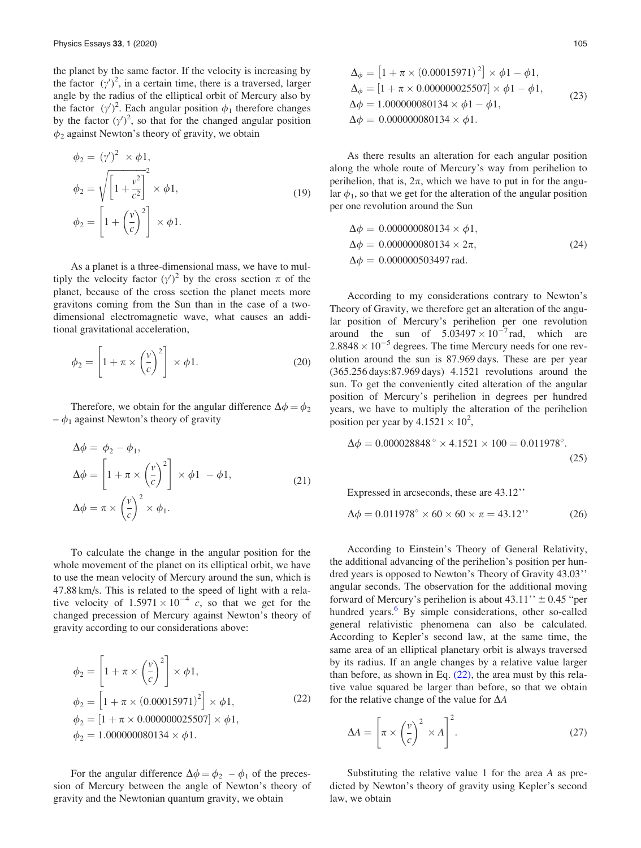the planet by the same factor. If the velocity is increasing by the factor  $(y')^2$ , in a certain time, there is a traversed, larger angle by the radius of the elliptical orbit of Mercury also by the factor  $(\gamma')^2$ . Each angular position  $\phi_1$  therefore changes by the factor  $(\gamma')^2$ , so that for the changed angular position  $\phi_2$  against Newton's theory of gravity, we obtain

$$
\phi_2 = (\gamma')^2 \times \phi_1,
$$
  
\n
$$
\phi_2 = \sqrt{\left[1 + \frac{v^2}{c^2}\right]^2} \times \phi_1,
$$
  
\n
$$
\phi_2 = \left[1 + \left(\frac{v}{c}\right)^2\right] \times \phi_1.
$$
\n(19)

As a planet is a three-dimensional mass, we have to multiply the velocity factor  $(\gamma')^2$  by the cross section  $\pi$  of the planet, because of the cross section the planet meets more gravitons coming from the Sun than in the case of a twodimensional electromagnetic wave, what causes an additional gravitational acceleration,

$$
\phi_2 = \left[1 + \pi \times \left(\frac{v}{c}\right)^2\right] \times \phi_1. \tag{20}
$$

Therefore, we obtain for the angular difference  $\Delta \phi = \phi_2$  $-\phi_1$  against Newton's theory of gravity

$$
\Delta \phi = \phi_2 - \phi_1,
$$
  
\n
$$
\Delta \phi = \left[1 + \pi \times \left(\frac{v}{c}\right)^2\right] \times \phi_1 - \phi_1,
$$
  
\n
$$
\Delta \phi = \pi \times \left(\frac{v}{c}\right)^2 \times \phi_1.
$$
\n(21)

To calculate the change in the angular position for the whole movement of the planet on its elliptical orbit, we have to use the mean velocity of Mercury around the sun, which is 47.88 km/s. This is related to the speed of light with a relative velocity of  $1.5971 \times 10^{-4}$  c, so that we get for the changed precession of Mercury against Newton's theory of gravity according to our considerations above:

$$
\phi_2 = \left[1 + \pi \times \left(\frac{v}{c}\right)^2\right] \times \phi_1,
$$
  
\n
$$
\phi_2 = \left[1 + \pi \times (0.00015971)^2\right] \times \phi_1,
$$
  
\n
$$
\phi_2 = \left[1 + \pi \times 0.000000025507\right] \times \phi_1,
$$
  
\n
$$
\phi_2 = 1.000000080134 \times \phi_1.
$$
\n(22)

For the angular difference  $\Delta \phi = \phi_2 - \phi_1$  of the precession of Mercury between the angle of Newton's theory of gravity and the Newtonian quantum gravity, we obtain

$$
\Delta_{\phi} = [1 + \pi \times (0.00015971)^{2}] \times \phi 1 - \phi 1,\n\Delta_{\phi} = [1 + \pi \times 0.000000025507] \times \phi 1 - \phi 1,\n\Delta \phi = 1.000000080134 \times \phi 1 - \phi 1,\n\Delta \phi = 0.000000080134 \times \phi 1.
$$
\n(23)

As there results an alteration for each angular position along the whole route of Mercury's way from perihelion to perihelion, that is,  $2\pi$ , which we have to put in for the angular  $\phi_1$ , so that we get for the alteration of the angular position per one revolution around the Sun

$$
\Delta \phi = 0.000000080134 \times \phi 1,\n\Delta \phi = 0.000000080134 \times 2\pi,\n\Delta \phi = 0.000000503497 \text{ rad.}
$$
\n(24)

According to my considerations contrary to Newton's Theory of Gravity, we therefore get an alteration of the angular position of Mercury's perihelion per one revolution around the sun of  $5.03497 \times 10^{-7}$  rad, which are  $2.8848 \times 10^{-5}$  degrees. The time Mercury needs for one revolution around the sun is 87.969 days. These are per year (365.256 days:87.969 days) 4.1521 revolutions around the sun. To get the conveniently cited alteration of the angular position of Mercury's perihelion in degrees per hundred years, we have to multiply the alteration of the perihelion position per year by  $4.1521 \times 10^2$ ,

$$
\Delta \phi = 0.000028848^{\circ} \times 4.1521 \times 100 = 0.011978^{\circ}.
$$
\n(25)

Expressed in arcseconds, these are 43.12''

$$
\Delta \phi = 0.011978^{\circ} \times 60 \times 60 \times \pi = 43.12^{\prime\prime} \tag{26}
$$

According to Einstein's Theory of General Relativity, the additional advancing of the perihelion's position per hundred years is opposed to Newton's Theory of Gravity 43.03'' angular seconds. The observation for the additional moving forward of Mercury's perihelion is about  $43.11$ "  $\pm$  0.45 "per hundred years.<sup>6</sup> By simple considerations, other so-called general relativistic phenomena can also be calculated. According to Kepler's second law, at the same time, the same area of an elliptical planetary orbit is always traversed by its radius. If an angle changes by a relative value larger than before, as shown in Eq.  $(22)$ , the area must by this relative value squared be larger than before, so that we obtain for the relative change of the value for  $\Delta A$ 

$$
\Delta A = \left[ \pi \times \left( \frac{v}{c} \right)^2 \times A \right]^2. \tag{27}
$$

Substituting the relative value 1 for the area A as predicted by Newton's theory of gravity using Kepler's second law, we obtain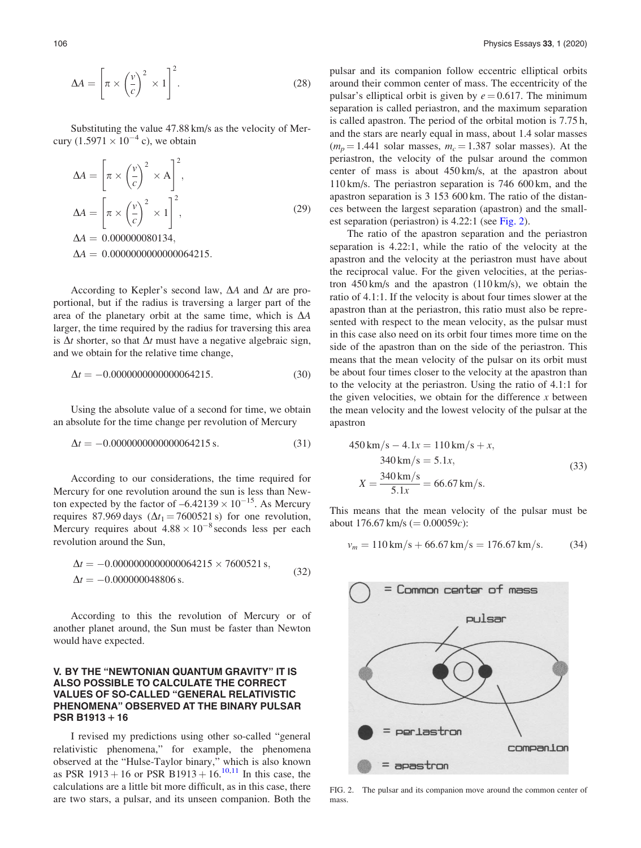$$
\Delta A = \left[ \pi \times \left( \frac{v}{c} \right)^2 \times 1 \right]^2.
$$
 (28)

Substituting the value 47.88 km/s as the velocity of Mercury  $(1.5971 \times 10^{-4} \text{ c})$ , we obtain

$$
\Delta A = \left[\pi \times \left(\frac{v}{c}\right)^2 \times A\right]^2,
$$
  
\n
$$
\Delta A = \left[\pi \times \left(\frac{v}{c}\right)^2 \times 1\right]^2,
$$
  
\n
$$
\Delta A = 0.0000000000134,
$$
  
\n
$$
\Delta A = 0.000000000000064215.
$$
\n(29)

According to Kepler's second law,  $\Delta A$  and  $\Delta t$  are proportional, but if the radius is traversing a larger part of the area of the planetary orbit at the same time, which is  $\Delta A$ larger, the time required by the radius for traversing this area is  $\Delta t$  shorter, so that  $\Delta t$  must have a negative algebraic sign, and we obtain for the relative time change,

$$
\Delta t = -0.0000000000000064215. \tag{30}
$$

Using the absolute value of a second for time, we obtain an absolute for the time change per revolution of Mercury

$$
\Delta t = -0.0000000000000064215 \,\mathrm{s}.\tag{31}
$$

According to our considerations, the time required for Mercury for one revolution around the sun is less than Newton expected by the factor of  $-6.42139 \times 10^{-15}$ . As Mercury requires 87.969 days ( $\Delta t_1$  = 7600521 s) for one revolution, Mercury requires about  $4.88 \times 10^{-8}$  seconds less per each revolution around the Sun,

$$
\Delta t = -0.0000000000000064215 \times 7600521 \,\mathrm{s},
$$
  

$$
\Delta t = -0.000000048806 \,\mathrm{s}.\tag{32}
$$

According to this the revolution of Mercury or of another planet around, the Sun must be faster than Newton would have expected.

### V. BY THE "NEWTONIAN QUANTUM GRAVITY" IT IS ALSO POSSIBLE TO CALCULATE THE CORRECT VALUES OF SO-CALLED "GENERAL RELATIVISTIC PHENOMENA" OBSERVED AT THE BINARY PULSAR  $PSR B1913 + 16$

I revised my predictions using other so-called "general relativistic phenomena," for example, the phenomena observed at the "Hulse-Taylor binary," which is also known as PSR 1913 + 16 or PSR B1913 + 16.<sup>[10](#page-14-0),[11](#page-14-0)</sup> In this case, the calculations are a little bit more difficult, as in this case, there are two stars, a pulsar, and its unseen companion. Both the pulsar and its companion follow eccentric elliptical orbits around their common center of mass. The eccentricity of the pulsar's elliptical orbit is given by  $e = 0.617$ . The minimum separation is called periastron, and the maximum separation is called apastron. The period of the orbital motion is 7.75 h, and the stars are nearly equal in mass, about 1.4 solar masses  $(m_p = 1.441 \text{ solar masses}, m_c = 1.387 \text{ solar masses}).$  At the periastron, the velocity of the pulsar around the common center of mass is about 450 km/s, at the apastron about 110 km/s. The periastron separation is 746 600 km, and the apastron separation is 3 153 600 km. The ratio of the distances between the largest separation (apastron) and the smallest separation (periastron) is 4.22:1 (see Fig. 2).

The ratio of the apastron separation and the periastron separation is 4.22:1, while the ratio of the velocity at the apastron and the velocity at the periastron must have about the reciprocal value. For the given velocities, at the periastron  $450 \text{ km/s}$  and the apastron  $(110 \text{ km/s})$ , we obtain the ratio of 4.1:1. If the velocity is about four times slower at the apastron than at the periastron, this ratio must also be represented with respect to the mean velocity, as the pulsar must in this case also need on its orbit four times more time on the side of the apastron than on the side of the periastron. This means that the mean velocity of the pulsar on its orbit must be about four times closer to the velocity at the apastron than to the velocity at the periastron. Using the ratio of 4.1:1 for the given velocities, we obtain for the difference  $x$  between the mean velocity and the lowest velocity of the pulsar at the apastron

$$
450 \text{ km/s} - 4.1x = 110 \text{ km/s} + x,
$$
  
\n
$$
340 \text{ km/s} = 5.1x,
$$
  
\n
$$
X = \frac{340 \text{ km/s}}{5.1x} = 66.67 \text{ km/s}.
$$
  
\n(33)

This means that the mean velocity of the pulsar must be about 176.67 km/s ( $= 0.00059c$ ):

$$
v_m = 110 \,\text{km/s} + 66.67 \,\text{km/s} = 176.67 \,\text{km/s}.\tag{34}
$$



FIG. 2. The pulsar and its companion move around the common center of mass.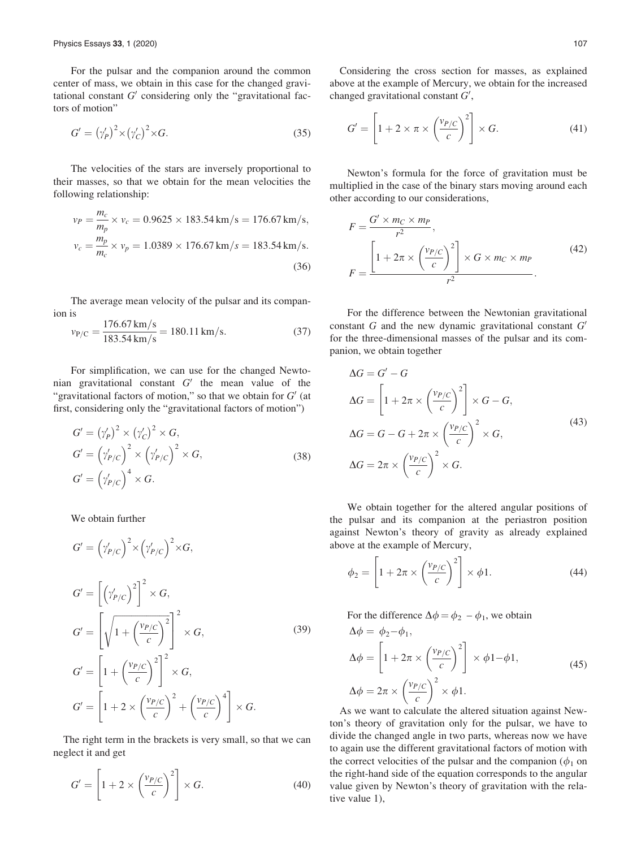For the pulsar and the companion around the common center of mass, we obtain in this case for the changed gravitational constant  $G'$  considering only the "gravitational factors of motion"

$$
G' = (\gamma_P')^2 \times (\gamma_C')^2 \times G. \tag{35}
$$

The velocities of the stars are inversely proportional to their masses, so that we obtain for the mean velocities the following relationship:

$$
v_P = \frac{m_c}{m_p} \times v_c = 0.9625 \times 183.54 \text{ km/s} = 176.67 \text{ km/s},
$$
  

$$
v_c = \frac{m_p}{m_c} \times v_p = 1.0389 \times 176.67 \text{ km/s} = 183.54 \text{ km/s}.
$$
(36)

The average mean velocity of the pulsar and its companion is

$$
v_{P/C} = \frac{176.67 \text{ km/s}}{183.54 \text{ km/s}} = 180.11 \text{ km/s}.
$$
 (37)

For simplification, we can use for the changed Newtonian gravitational constant  $G'$  the mean value of the "gravitational factors of motion," so that we obtain for  $G'$  (at first, considering only the "gravitational factors of motion")

$$
G' = (\gamma_P')^2 \times (\gamma_C')^2 \times G,
$$
  
\n
$$
G' = (\gamma_{P/C}')^2 \times (\gamma_{P/C}')^2 \times G,
$$
  
\n
$$
G' = (\gamma_{P/C}')^4 \times G.
$$
\n(38)

We obtain further

$$
G' = \left(\gamma'_{P/C}\right)^2 \times \left(\gamma'_{P/C}\right)^2 \times G,
$$
  
\n
$$
G' = \left[\left(\gamma'_{P/C}\right)^2\right]^2 \times G,
$$
  
\n
$$
G' = \left[\sqrt{1 + \left(\frac{v_{P/C}}{c}\right)^2}\right]^2 \times G,
$$
  
\n
$$
G' = \left[1 + \left(\frac{v_{P/C}}{c}\right)^2\right]^2 \times G,
$$
  
\n
$$
G' = \left[1 + 2 \times \left(\frac{v_{P/C}}{c}\right)^2 + \left(\frac{v_{P/C}}{c}\right)^4\right] \times G.
$$
\n(39)

The right term in the brackets is very small, so that we can neglect it and get

$$
G' = \left[1 + 2 \times \left(\frac{v_{P/C}}{c}\right)^2\right] \times G.
$$
 (40)

Considering the cross section for masses, as explained above at the example of Mercury, we obtain for the increased changed gravitational constant  $G'$ ,

$$
G' = \left[1 + 2 \times \pi \times \left(\frac{v_{P/C}}{c}\right)^2\right] \times G.
$$
 (41)

Newton's formula for the force of gravitation must be multiplied in the case of the binary stars moving around each other according to our considerations,

$$
F = \frac{G' \times m_C \times m_P}{r^2},
$$
  
\n
$$
F = \frac{\left[1 + 2\pi \times \left(\frac{v_{P/C}}{c}\right)^2\right] \times G \times m_C \times m_P}{r^2}.
$$
 (42)

For the difference between the Newtonian gravitational constant  $G$  and the new dynamic gravitational constant  $G'$ for the three-dimensional masses of the pulsar and its companion, we obtain together

$$
\Delta G = G' - G
$$
  
\n
$$
\Delta G = \left[1 + 2\pi \times \left(\frac{v_{P/C}}{c}\right)^2\right] \times G - G,
$$
  
\n
$$
\Delta G = G - G + 2\pi \times \left(\frac{v_{P/C}}{c}\right)^2 \times G,
$$
  
\n
$$
\Delta G = 2\pi \times \left(\frac{v_{P/C}}{c}\right)^2 \times G.
$$
\n(43)

We obtain together for the altered angular positions of the pulsar and its companion at the periastron position against Newton's theory of gravity as already explained above at the example of Mercury,

$$
\phi_2 = \left[1 + 2\pi \times \left(\frac{v_{P/C}}{c}\right)^2\right] \times \phi 1. \tag{44}
$$

For the difference  $\Delta \phi = \phi_2 - \phi_1$ , we obtain  $\Lambda d = d \Lambda d$ 

$$
\Delta \phi = \psi_2 - \psi_1,
$$
  
\n
$$
\Delta \phi = \left[ 1 + 2\pi \times \left( \frac{v_{P/C}}{c} \right)^2 \right] \times \phi_1 - \phi_1,
$$
  
\n
$$
\Delta \phi = 2\pi \times \left( \frac{v_{P/C}}{c} \right)^2 \times \phi_1.
$$
\n(45)

As we want to calculate the altered situation against Newton's theory of gravitation only for the pulsar, we have to divide the changed angle in two parts, whereas now we have to again use the different gravitational factors of motion with the correct velocities of the pulsar and the companion ( $\phi_1$  on the right-hand side of the equation corresponds to the angular value given by Newton's theory of gravitation with the relative value 1),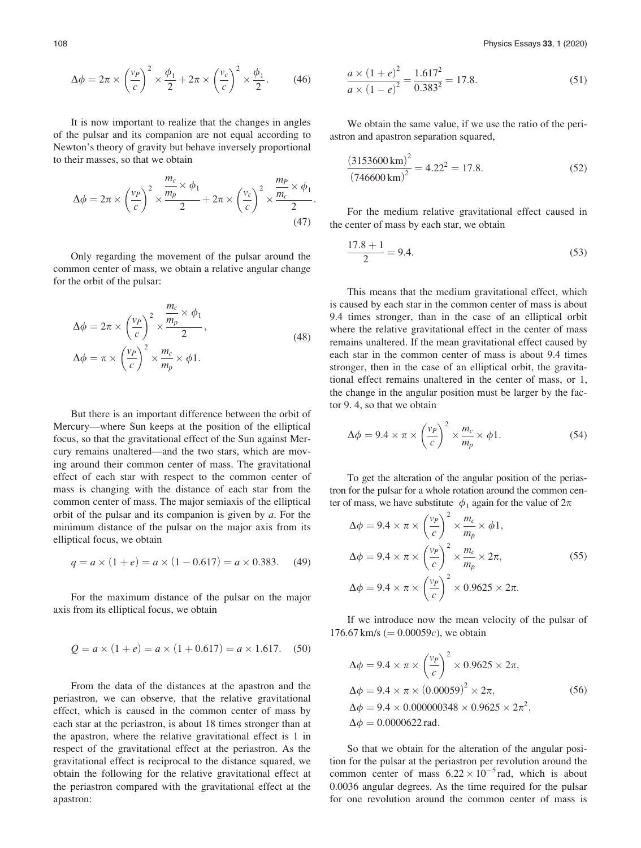$$
\Delta \phi = 2\pi \times \left(\frac{v_P}{c}\right)^2 \times \frac{\phi_1}{2} + 2\pi \times \left(\frac{v_c}{c}\right)^2 \times \frac{\phi_1}{2}.\tag{46}
$$

It is now important to realize that the changes in angles of the pulsar and its companion are not equal according to Newton's theory of gravity but behave inversely proportional to their masses, so that we obtain

$$
\Delta \phi = 2\pi \times \left(\frac{v_P}{c}\right)^2 \times \frac{\frac{m_c}{m_p} \times \phi_1}{2} + 2\pi \times \left(\frac{v_c}{c}\right)^2 \times \frac{\frac{m_P}{m_c} \times \phi_1}{2}.
$$
\n(47)

Only regarding the movement of the pulsar around the common center of mass, we obtain a relative angular change for the orbit of the pulsar:

$$
\Delta \phi = 2\pi \times \left(\frac{v_P}{c}\right)^2 \times \frac{\frac{m_c}{m_p} \times \phi_1}{2},
$$
  
\n
$$
\Delta \phi = \pi \times \left(\frac{v_P}{c}\right)^2 \times \frac{m_c}{m_p} \times \phi_1.
$$
\n(48)

But there is an important difference between the orbit of Mercury—where Sun keeps at the position of the elliptical focus, so that the gravitational effect of the Sun against Mercury remains unaltered—and the two stars, which are moving around their common center of mass. The gravitational effect of each star with respect to the common center of mass is changing with the distance of each star from the common center of mass. The major semiaxis of the elliptical orbit of the pulsar and its companion is given by  $a$ . For the minimum distance of the pulsar on the major axis from its elliptical focus, we obtain

$$
q = a \times (1 + e) = a \times (1 - 0.617) = a \times 0.383. \tag{49}
$$

For the maximum distance of the pulsar on the major axis from its elliptical focus, we obtain

$$
Q = a \times (1 + e) = a \times (1 + 0.617) = a \times 1.617.
$$
 (50)

From the data of the distances at the apastron and the periastron, we can observe, that the relative gravitational effect, which is caused in the common center of mass by each star at the periastron, is about 18 times stronger than at the apastron, where the relative gravitational effect is 1 in respect of the gravitational effect at the periastron. As the gravitational effect is reciprocal to the distance squared, we obtain the following for the relative gravitational effect at the periastron compared with the gravitational effect at the apastron:

$$
\frac{a \times (1+e)^2}{a \times (1-e)^2} = \frac{1.617^2}{0.383^2} = 17.8.
$$
 (51)

We obtain the same value, if we use the ratio of the periastron and apastron separation squared,

$$
\frac{(3153600 \text{ km})^2}{(746600 \text{ km})^2} = 4.22^2 = 17.8.
$$
 (52)

For the medium relative gravitational effect caused in the center of mass by each star, we obtain

$$
\frac{17.8 + 1}{2} = 9.4.
$$
\n(53)

This means that the medium gravitational effect, which is caused by each star in the common center of mass is about 9.4 times stronger, than in the case of an elliptical orbit where the relative gravitational effect in the center of mass remains unaltered. If the mean gravitational effect caused by each star in the common center of mass is about 9.4 times stronger, then in the case of an elliptical orbit, the gravitational effect remains unaltered in the center of mass, or 1, the change in the angular position must be larger by the factor 9. 4, so that we obtain

$$
\Delta \phi = 9.4 \times \pi \times \left(\frac{v_P}{c}\right)^2 \times \frac{m_c}{m_p} \times \phi 1. \tag{54}
$$

To get the alteration of the angular position of the periastron for the pulsar for a whole rotation around the common center of mass, we have substitute  $\phi_1$  again for the value of  $2\pi$ 

$$
\Delta \phi = 9.4 \times \pi \times \left(\frac{v_P}{c}\right)^2 \times \frac{m_c}{m_p} \times \phi 1,
$$
  
\n
$$
\Delta \phi = 9.4 \times \pi \times \left(\frac{v_P}{c}\right)^2 \times \frac{m_c}{m_p} \times 2\pi,
$$
  
\n
$$
\Delta \phi = 9.4 \times \pi \times \left(\frac{v_P}{c}\right)^2 \times 0.9625 \times 2\pi.
$$
\n(55)

If we introduce now the mean velocity of the pulsar of 176.67 km/s ( $= 0.00059c$ ), we obtain

$$
\Delta \phi = 9.4 \times \pi \times \left(\frac{v_P}{c}\right)^2 \times 0.9625 \times 2\pi,
$$
  
\n
$$
\Delta \phi = 9.4 \times \pi \times (0.00059)^2 \times 2\pi,
$$
  
\n
$$
\Delta \phi = 9.4 \times 0.000000348 \times 0.9625 \times 2\pi^2,
$$
  
\n
$$
\Delta \phi = 0.0000622 \text{ rad.}
$$
\n(56)

So that we obtain for the alteration of the angular position for the pulsar at the periastron per revolution around the common center of mass  $6.22 \times 10^{-5}$  rad, which is about 0.0036 angular degrees. As the time required for the pulsar for one revolution around the common center of mass is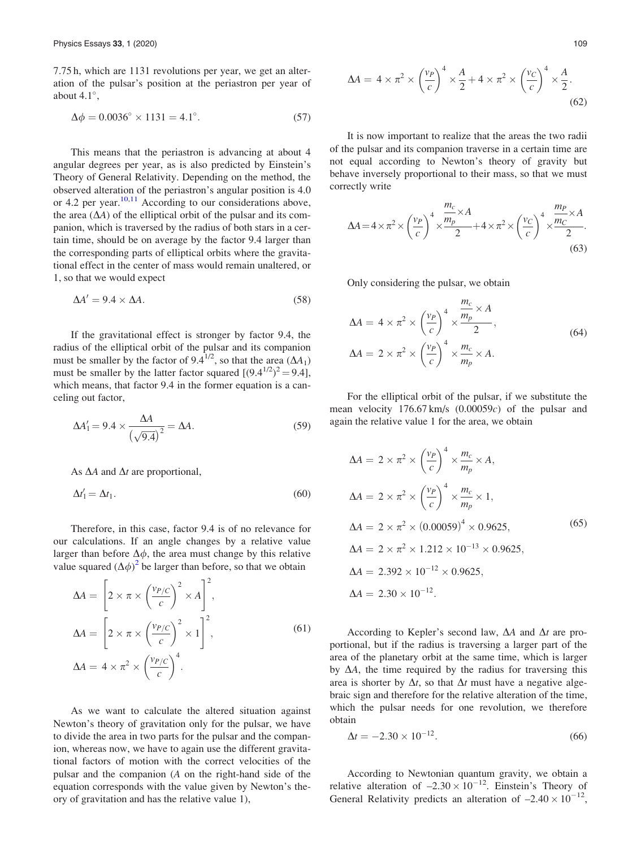7.75 h, which are 1131 revolutions per year, we get an alteration of the pulsar's position at the periastron per year of about  $4.1^\circ$ ,

$$
\Delta \phi = 0.0036^{\circ} \times 1131 = 4.1^{\circ}.
$$
 (57)

This means that the periastron is advancing at about 4 angular degrees per year, as is also predicted by Einstein's Theory of General Relativity. Depending on the method, the observed alteration of the periastron's angular position is 4.0 or 4.2 per year.  $\frac{10,11}{10,11}$  $\frac{10,11}{10,11}$  $\frac{10,11}{10,11}$  According to our considerations above, the area  $(\Delta A)$  of the elliptical orbit of the pulsar and its companion, which is traversed by the radius of both stars in a certain time, should be on average by the factor 9.4 larger than the corresponding parts of elliptical orbits where the gravitational effect in the center of mass would remain unaltered, or 1, so that we would expect

$$
\Delta A' = 9.4 \times \Delta A. \tag{58}
$$

If the gravitational effect is stronger by factor 9.4, the radius of the elliptical orbit of the pulsar and its companion must be smaller by the factor of 9.4<sup>1/2</sup>, so that the area  $(\Delta A_1)$ must be smaller by the latter factor squared  $[(9.4^{1/2})^2 = 9.4]$ , which means, that factor 9.4 in the former equation is a canceling out factor,

$$
\Delta A_1' = 9.4 \times \frac{\Delta A}{\left(\sqrt{9.4}\right)^2} = \Delta A. \tag{59}
$$

As  $\Delta A$  and  $\Delta t$  are proportional,

$$
\Delta t_1' = \Delta t_1. \tag{60}
$$

Therefore, in this case, factor 9.4 is of no relevance for our calculations. If an angle changes by a relative value larger than before  $\Delta \phi$ , the area must change by this relative value squared  $(\Delta \phi)^2$  $(\Delta \phi)^2$  be larger than before, so that we obtain

$$
\Delta A = \left[2 \times \pi \times \left(\frac{v_{P/C}}{c}\right)^2 \times A\right]^2,
$$
  
\n
$$
\Delta A = \left[2 \times \pi \times \left(\frac{v_{P/C}}{c}\right)^2 \times 1\right]^2,
$$
  
\n
$$
\Delta A = 4 \times \pi^2 \times \left(\frac{v_{P/C}}{c}\right)^4.
$$
\n(61)

As we want to calculate the altered situation against Newton's theory of gravitation only for the pulsar, we have to divide the area in two parts for the pulsar and the companion, whereas now, we have to again use the different gravitational factors of motion with the correct velocities of the pulsar and the companion (A on the right-hand side of the equation corresponds with the value given by Newton's theory of gravitation and has the relative value 1),

$$
\Delta A = 4 \times \pi^2 \times \left(\frac{v_P}{c}\right)^4 \times \frac{A}{2} + 4 \times \pi^2 \times \left(\frac{v_C}{c}\right)^4 \times \frac{A}{2}.
$$
\n(62)

It is now important to realize that the areas the two radii of the pulsar and its companion traverse in a certain time are not equal according to Newton's theory of gravity but behave inversely proportional to their mass, so that we must correctly write

$$
\Delta A = 4 \times \pi^2 \times \left(\frac{v_P}{c}\right)^4 \times \frac{\frac{m_c}{m_p} \times A}{2} + 4 \times \pi^2 \times \left(\frac{v_C}{c}\right)^4 \times \frac{\frac{m_P}{m_C} \times A}{2}.
$$
\n(63)

Only considering the pulsar, we obtain

$$
\Delta A = 4 \times \pi^2 \times \left(\frac{v_P}{c}\right)^4 \times \frac{m_c}{m_p} \times A
$$
  

$$
\Delta A = 2 \times \pi^2 \times \left(\frac{v_P}{c}\right)^4 \times \frac{m_c}{m_p} \times A.
$$
 (64)

For the elliptical orbit of the pulsar, if we substitute the mean velocity 176.67 km/s (0.00059c) of the pulsar and again the relative value 1 for the area, we obtain

$$
\Delta A = 2 \times \pi^2 \times \left(\frac{v_P}{c}\right)^4 \times \frac{m_c}{m_p} \times A,
$$
  
\n
$$
\Delta A = 2 \times \pi^2 \times \left(\frac{v_P}{c}\right)^4 \times \frac{m_c}{m_p} \times 1,
$$
  
\n
$$
\Delta A = 2 \times \pi^2 \times (0.00059)^4 \times 0.9625,
$$
  
\n
$$
\Delta A = 2 \times \pi^2 \times 1.212 \times 10^{-13} \times 0.9625,
$$
  
\n
$$
\Delta A = 2.392 \times 10^{-12} \times 0.9625,
$$
  
\n
$$
\Delta A = 2.30 \times 10^{-12}.
$$
 (65)

According to Kepler's second law,  $\Delta A$  and  $\Delta t$  are proportional, but if the radius is traversing a larger part of the area of the planetary orbit at the same time, which is larger by  $\Delta A$ , the time required by the radius for traversing this area is shorter by  $\Delta t$ , so that  $\Delta t$  must have a negative algebraic sign and therefore for the relative alteration of the time, which the pulsar needs for one revolution, we therefore obtain

$$
\Delta t = -2.30 \times 10^{-12}.\tag{66}
$$

According to Newtonian quantum gravity, we obtain a relative alteration of  $-2.30 \times 10^{-12}$ . Einstein's Theory of General Relativity predicts an alteration of  $-2.40 \times 10^{-12}$ ,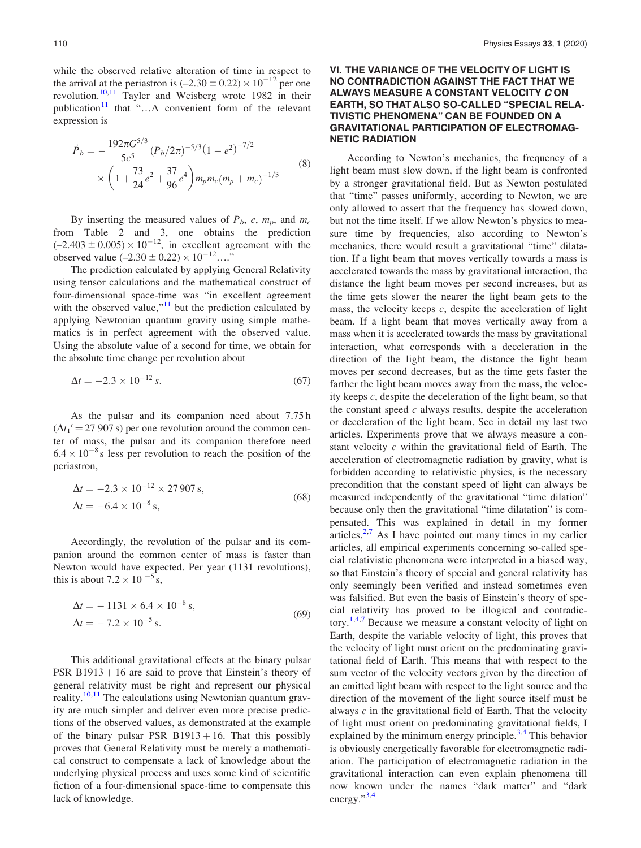while the observed relative alteration of time in respect to the arrival at the periastron is  $(-2.30 \pm 0.22) \times 10^{-12}$  per one revolution.<sup>[10,11](#page-14-0)</sup> Tayler and Weisberg wrote 1982 in their publication $11$  that "...A convenient form of the relevant expression is

$$
\dot{P}_b = -\frac{192\pi G^{5/3}}{5c^5} (P_b/2\pi)^{-5/3} (1 - e^2)^{-7/2}
$$
\n
$$
\times \left(1 + \frac{73}{24}e^2 + \frac{37}{96}e^4\right) m_p m_c (m_p + m_c)^{-1/3}
$$
\n(8)

By inserting the measured values of  $P_b$ , e,  $m_p$ , and  $m_c$ from Table 2 and 3, one obtains the prediction  $(-2.403 \pm 0.005) \times 10^{-12}$ , in excellent agreement with the observed value  $(-2.30 \pm 0.22) \times 10^{-12}$ …."

The prediction calculated by applying General Relativity using tensor calculations and the mathematical construct of four-dimensional space-time was "in excellent agreement with the observed value," $\frac{11}{11}$  $\frac{11}{11}$  $\frac{11}{11}$  but the prediction calculated by applying Newtonian quantum gravity using simple mathematics is in perfect agreement with the observed value. Using the absolute value of a second for time, we obtain for the absolute time change per revolution about

$$
\Delta t = -2.3 \times 10^{-12} \,\mathrm{s}.\tag{67}
$$

As the pulsar and its companion need about 7.75 h  $(\Delta t_1' = 27\,907 \,\mathrm{s})$  per one revolution around the common center of mass, the pulsar and its companion therefore need  $6.4 \times 10^{-8}$  s less per revolution to reach the position of the periastron,

$$
\Delta t = -2.3 \times 10^{-12} \times 27\,907 \,\mathrm{s},
$$
  
\n
$$
\Delta t = -6.4 \times 10^{-8} \,\mathrm{s},
$$
\n(68)

Accordingly, the revolution of the pulsar and its companion around the common center of mass is faster than Newton would have expected. Per year (1131 revolutions), this is about  $7.2 \times 10^{-5}$  s,

$$
\Delta t = -1131 \times 6.4 \times 10^{-8} \text{ s},
$$
  
\n
$$
\Delta t = -7.2 \times 10^{-5} \text{ s}.
$$
\n(69)

This additional gravitational effects at the binary pulsar PSR B1913  $+$  16 are said to prove that Einstein's theory of general relativity must be right and represent our physical reality.<sup>[10,11](#page-14-0)</sup> The calculations using Newtonian quantum gravity are much simpler and deliver even more precise predictions of the observed values, as demonstrated at the example of the binary pulsar PSR  $B1913 + 16$ . That this possibly proves that General Relativity must be merely a mathematical construct to compensate a lack of knowledge about the underlying physical process and uses some kind of scientific fiction of a four-dimensional space-time to compensate this lack of knowledge.

### VI. THE VARIANCE OF THE VELOCITY OF LIGHT IS NO CONTRADICTION AGAINST THE FACT THAT WE ALWAYS MEASURE A CONSTANT VELOCITY C ON EARTH, SO THAT ALSO SO-CALLED "SPECIAL RELA-TIVISTIC PHENOMENA" CAN BE FOUNDED ON A GRAVITATIONAL PARTICIPATION OF ELECTROMAG-NETIC RADIATION

According to Newton's mechanics, the frequency of a light beam must slow down, if the light beam is confronted by a stronger gravitational field. But as Newton postulated that "time" passes uniformly, according to Newton, we are only allowed to assert that the frequency has slowed down, but not the time itself. If we allow Newton's physics to measure time by frequencies, also according to Newton's mechanics, there would result a gravitational "time" dilatation. If a light beam that moves vertically towards a mass is accelerated towards the mass by gravitational interaction, the distance the light beam moves per second increases, but as the time gets slower the nearer the light beam gets to the mass, the velocity keeps  $c$ , despite the acceleration of light beam. If a light beam that moves vertically away from a mass when it is accelerated towards the mass by gravitational interaction, what corresponds with a deceleration in the direction of the light beam, the distance the light beam moves per second decreases, but as the time gets faster the farther the light beam moves away from the mass, the velocity keeps c, despite the deceleration of the light beam, so that the constant speed  $c$  always results, despite the acceleration or deceleration of the light beam. See in detail my last two articles. Experiments prove that we always measure a constant velocity c within the gravitational field of Earth. The acceleration of electromagnetic radiation by gravity, what is forbidden according to relativistic physics, is the necessary precondition that the constant speed of light can always be measured independently of the gravitational "time dilation" because only then the gravitational "time dilatation" is compensated. This was explained in detail in my former articles. $2.7$  As I have pointed out many times in my earlier articles, all empirical experiments concerning so-called special relativistic phenomena were interpreted in a biased way, so that Einstein's theory of special and general relativity has only seemingly been verified and instead sometimes even was falsified. But even the basis of Einstein's theory of special relativity has proved to be illogical and contradic-tory.<sup>[1,4](#page-14-0),[7](#page-14-0)</sup> Because we measure a constant velocity of light on Earth, despite the variable velocity of light, this proves that the velocity of light must orient on the predominating gravitational field of Earth. This means that with respect to the sum vector of the velocity vectors given by the direction of an emitted light beam with respect to the light source and the direction of the movement of the light source itself must be always  $c$  in the gravitational field of Earth. That the velocity of light must orient on predominating gravitational fields, I explained by the minimum energy principle. $3,4$  This behavior is obviously energetically favorable for electromagnetic radiation. The participation of electromagnetic radiation in the gravitational interaction can even explain phenomena till now known under the names "dark matter" and "dark energy."<sup>[3](#page-14-0),[4](#page-14-0)</sup>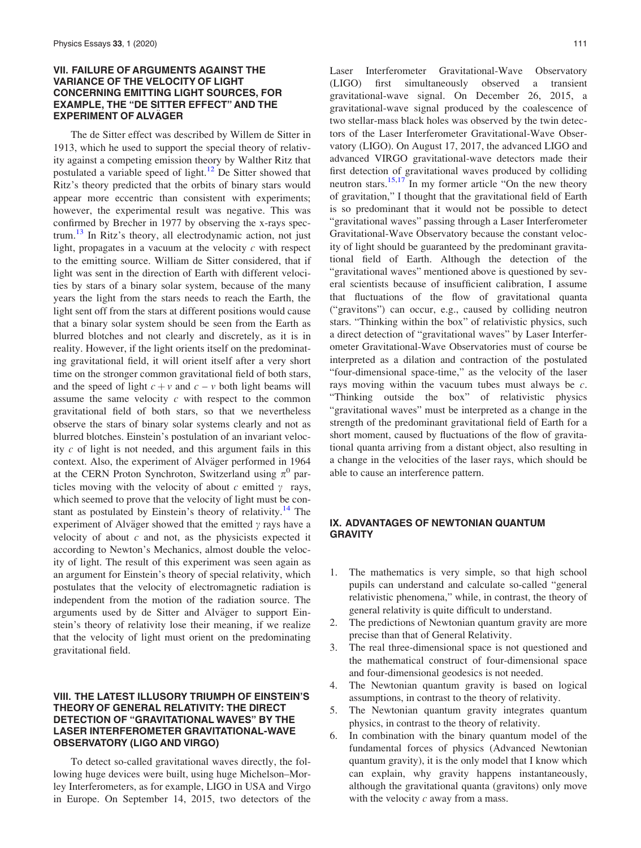#### VII. FAILURE OF ARGUMENTS AGAINST THE VARIANCE OF THE VELOCITY OF LIGHT CONCERNING EMITTING LIGHT SOURCES, FOR EXAMPLE, THE "DE SITTER EFFECT" AND THE **EXPERIMENT OF ALVÄGER**

The de Sitter effect was described by Willem de Sitter in 1913, which he used to support the special theory of relativity against a competing emission theory by Walther Ritz that postulated a variable speed of light.<sup>[12](#page-14-0)</sup> De Sitter showed that Ritz's theory predicted that the orbits of binary stars would appear more eccentric than consistent with experiments; however, the experimental result was negative. This was confirmed by Brecher in 1977 by observing the x-rays spectrum.<sup>13</sup> In Ritz's theory, all electrodynamic action, not just light, propagates in a vacuum at the velocity  $c$  with respect to the emitting source. William de Sitter considered, that if light was sent in the direction of Earth with different velocities by stars of a binary solar system, because of the many years the light from the stars needs to reach the Earth, the light sent off from the stars at different positions would cause that a binary solar system should be seen from the Earth as blurred blotches and not clearly and discretely, as it is in reality. However, if the light orients itself on the predominating gravitational field, it will orient itself after a very short time on the stronger common gravitational field of both stars, and the speed of light  $c + v$  and  $c - v$  both light beams will assume the same velocity  $c$  with respect to the common gravitational field of both stars, so that we nevertheless observe the stars of binary solar systems clearly and not as blurred blotches. Einstein's postulation of an invariant velocity  $c$  of light is not needed, and this argument fails in this context. Also, the experiment of Alväger performed in 1964 at the CERN Proton Synchroton, Switzerland using  $\pi^0$  particles moving with the velocity of about c emitted  $\gamma$  rays, which seemed to prove that the velocity of light must be con-stant as postulated by Einstein's theory of relativity.<sup>[14](#page-14-0)</sup> The experiment of Alväger showed that the emitted  $\gamma$  rays have a velocity of about  $c$  and not, as the physicists expected it according to Newton's Mechanics, almost double the velocity of light. The result of this experiment was seen again as an argument for Einstein's theory of special relativity, which postulates that the velocity of electromagnetic radiation is independent from the motion of the radiation source. The arguments used by de Sitter and Alväger to support Einstein's theory of relativity lose their meaning, if we realize that the velocity of light must orient on the predominating gravitational field.

## VIII. THE LATEST ILLUSORY TRIUMPH OF EINSTEIN'S THEORY OF GENERAL RELATIVITY: THE DIRECT DETECTION OF "GRAVITATIONAL WAVES" BY THE LASER INTERFEROMETER GRAVITATIONAL-WAVE OBSERVATORY (LIGO AND VIRGO)

To detect so-called gravitational waves directly, the following huge devices were built, using huge Michelson–Morley Interferometers, as for example, LIGO in USA and Virgo in Europe. On September 14, 2015, two detectors of the Laser Interferometer Gravitational-Wave Observatory (LIGO) first simultaneously observed a transient gravitational-wave signal. On December 26, 2015, a gravitational-wave signal produced by the coalescence of two stellar-mass black holes was observed by the twin detectors of the Laser Interferometer Gravitational-Wave Observatory (LIGO). On August 17, 2017, the advanced LIGO and advanced VIRGO gravitational-wave detectors made their first detection of gravitational waves produced by colliding neutron stars.<sup>[15,17](#page-14-0)</sup> In my former article "On the new theory of gravitation," I thought that the gravitational field of Earth is so predominant that it would not be possible to detect "gravitational waves" passing through a Laser Interferometer Gravitational-Wave Observatory because the constant velocity of light should be guaranteed by the predominant gravitational field of Earth. Although the detection of the "gravitational waves" mentioned above is questioned by several scientists because of insufficient calibration, I assume that fluctuations of the flow of gravitational quanta ("gravitons") can occur, e.g., caused by colliding neutron stars. "Thinking within the box" of relativistic physics, such a direct detection of "gravitational waves" by Laser Interferometer Gravitational-Wave Observatories must of course be interpreted as a dilation and contraction of the postulated "four-dimensional space-time," as the velocity of the laser rays moving within the vacuum tubes must always be  $c$ . "Thinking outside the box" of relativistic physics "gravitational waves" must be interpreted as a change in the strength of the predominant gravitational field of Earth for a short moment, caused by fluctuations of the flow of gravitational quanta arriving from a distant object, also resulting in a change in the velocities of the laser rays, which should be able to cause an interference pattern.

#### IX. ADVANTAGES OF NEWTONIAN QUANTUM GRAVITY

- 1. The mathematics is very simple, so that high school pupils can understand and calculate so-called "general relativistic phenomena," while, in contrast, the theory of general relativity is quite difficult to understand.
- 2. The predictions of Newtonian quantum gravity are more precise than that of General Relativity.
- 3. The real three-dimensional space is not questioned and the mathematical construct of four-dimensional space and four-dimensional geodesics is not needed.
- 4. The Newtonian quantum gravity is based on logical assumptions, in contrast to the theory of relativity.
- 5. The Newtonian quantum gravity integrates quantum physics, in contrast to the theory of relativity.
- 6. In combination with the binary quantum model of the fundamental forces of physics (Advanced Newtonian quantum gravity), it is the only model that I know which can explain, why gravity happens instantaneously, although the gravitational quanta (gravitons) only move with the velocity  $c$  away from a mass.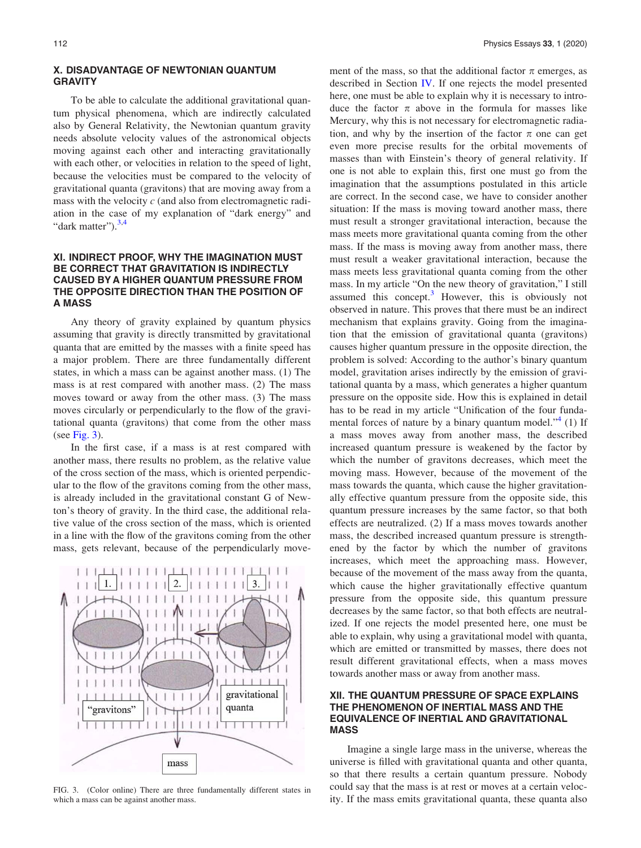#### X. DISADVANTAGE OF NEWTONIAN QUANTUM **GRAVITY**

To be able to calculate the additional gravitational quantum physical phenomena, which are indirectly calculated also by General Relativity, the Newtonian quantum gravity needs absolute velocity values of the astronomical objects moving against each other and interacting gravitationally with each other, or velocities in relation to the speed of light, because the velocities must be compared to the velocity of gravitational quanta (gravitons) that are moving away from a mass with the velocity  $c$  (and also from electromagnetic radiation in the case of my explanation of "dark energy" and "dark matter").<sup>[3,4](#page-14-0)</sup>

## XI. INDIRECT PROOF, WHY THE IMAGINATION MUST BE CORRECT THAT GRAVITATION IS INDIRECTLY CAUSED BY A HIGHER QUANTUM PRESSURE FROM THE OPPOSITE DIRECTION THAN THE POSITION OF A MASS

Any theory of gravity explained by quantum physics assuming that gravity is directly transmitted by gravitational quanta that are emitted by the masses with a finite speed has a major problem. There are three fundamentally different states, in which a mass can be against another mass. (1) The mass is at rest compared with another mass. (2) The mass moves toward or away from the other mass. (3) The mass moves circularly or perpendicularly to the flow of the gravitational quanta (gravitons) that come from the other mass (see Fig.  $3$ ).

In the first case, if a mass is at rest compared with another mass, there results no problem, as the relative value of the cross section of the mass, which is oriented perpendicular to the flow of the gravitons coming from the other mass, is already included in the gravitational constant G of Newton's theory of gravity. In the third case, the additional relative value of the cross section of the mass, which is oriented in a line with the flow of the gravitons coming from the other mass, gets relevant, because of the perpendicularly move-



FIG. 3. (Color online) There are three fundamentally different states in which a mass can be against another mass.

ment of the mass, so that the additional factor  $\pi$  emerges, as described in Section [IV](#page-3-0). If one rejects the model presented here, one must be able to explain why it is necessary to introduce the factor  $\pi$  above in the formula for masses like Mercury, why this is not necessary for electromagnetic radiation, and why by the insertion of the factor  $\pi$  one can get even more precise results for the orbital movements of masses than with Einstein's theory of general relativity. If one is not able to explain this, first one must go from the imagination that the assumptions postulated in this article are correct. In the second case, we have to consider another situation: If the mass is moving toward another mass, there must result a stronger gravitational interaction, because the mass meets more gravitational quanta coming from the other mass. If the mass is moving away from another mass, there must result a weaker gravitational interaction, because the mass meets less gravitational quanta coming from the other mass. In my article "On the new theory of gravitation," I still assumed this concept. $3$  However, this is obviously not observed in nature. This proves that there must be an indirect mechanism that explains gravity. Going from the imagination that the emission of gravitational quanta (gravitons) causes higher quantum pressure in the opposite direction, the problem is solved: According to the author's binary quantum model, gravitation arises indirectly by the emission of gravitational quanta by a mass, which generates a higher quantum pressure on the opposite side. How this is explained in detail has to be read in my article "Unification of the four fundamental forces of nature by a binary quantum model." $4$  (1) If a mass moves away from another mass, the described increased quantum pressure is weakened by the factor by which the number of gravitons decreases, which meet the moving mass. However, because of the movement of the mass towards the quanta, which cause the higher gravitationally effective quantum pressure from the opposite side, this quantum pressure increases by the same factor, so that both effects are neutralized. (2) If a mass moves towards another mass, the described increased quantum pressure is strengthened by the factor by which the number of gravitons increases, which meet the approaching mass. However, because of the movement of the mass away from the quanta, which cause the higher gravitationally effective quantum pressure from the opposite side, this quantum pressure decreases by the same factor, so that both effects are neutralized. If one rejects the model presented here, one must be able to explain, why using a gravitational model with quanta, which are emitted or transmitted by masses, there does not result different gravitational effects, when a mass moves towards another mass or away from another mass.

#### XII. THE QUANTUM PRESSURE OF SPACE EXPLAINS THE PHENOMENON OF INERTIAL MASS AND THE EQUIVALENCE OF INERTIAL AND GRAVITATIONAL MASS

Imagine a single large mass in the universe, whereas the universe is filled with gravitational quanta and other quanta, so that there results a certain quantum pressure. Nobody could say that the mass is at rest or moves at a certain velocity. If the mass emits gravitational quanta, these quanta also